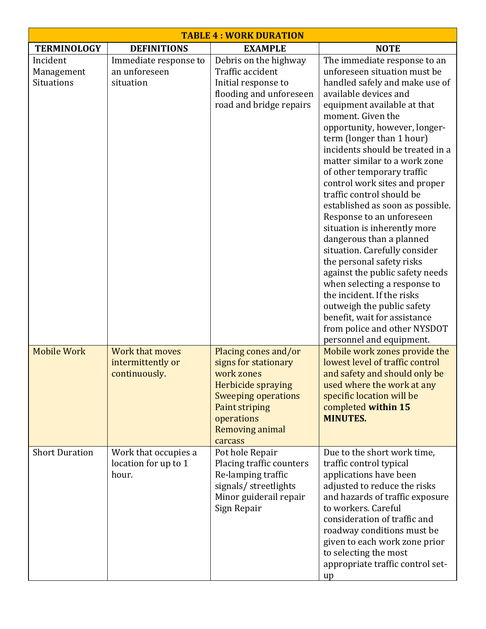| <b>TABLE 4 : WORK DURATION</b>              |                                                       |                                                                                                                                                                                     |                                                                                                                                                                                                                                                                                                                                                                                                                                                                                                                                                                                                                                                                                                                                                                                                      |  |  |
|---------------------------------------------|-------------------------------------------------------|-------------------------------------------------------------------------------------------------------------------------------------------------------------------------------------|------------------------------------------------------------------------------------------------------------------------------------------------------------------------------------------------------------------------------------------------------------------------------------------------------------------------------------------------------------------------------------------------------------------------------------------------------------------------------------------------------------------------------------------------------------------------------------------------------------------------------------------------------------------------------------------------------------------------------------------------------------------------------------------------------|--|--|
| <b>TERMINOLOGY</b>                          | <b>DEFINITIONS</b>                                    | <b>EXAMPLE</b>                                                                                                                                                                      | <b>NOTE</b>                                                                                                                                                                                                                                                                                                                                                                                                                                                                                                                                                                                                                                                                                                                                                                                          |  |  |
| Incident<br>Management<br><b>Situations</b> | Immediate response to<br>an unforeseen<br>situation   | Debris on the highway<br>Traffic accident<br>Initial response to<br>flooding and unforeseen<br>road and bridge repairs                                                              | The immediate response to an<br>unforeseen situation must be<br>handled safely and make use of<br>available devices and<br>equipment available at that<br>moment. Given the<br>opportunity, however, longer-<br>term (longer than 1 hour)<br>incidents should be treated in a<br>matter similar to a work zone<br>of other temporary traffic<br>control work sites and proper<br>traffic control should be<br>established as soon as possible.<br>Response to an unforeseen<br>situation is inherently more<br>dangerous than a planned<br>situation. Carefully consider<br>the personal safety risks<br>against the public safety needs<br>when selecting a response to<br>the incident. If the risks<br>outweigh the public safety<br>benefit, wait for assistance<br>from police and other NYSDOT |  |  |
| <b>Mobile Work</b>                          | Work that moves<br>intermittently or<br>continuously. | Placing cones and/or<br>signs for stationary<br>work zones<br>Herbicide spraying<br><b>Sweeping operations</b><br>Paint striping<br>operations<br><b>Removing animal</b><br>carcass | personnel and equipment.<br>Mobile work zones provide the<br>lowest level of traffic control<br>and safety and should only be<br>used where the work at any<br>specific location will be<br>completed within 15<br><b>MINUTES.</b>                                                                                                                                                                                                                                                                                                                                                                                                                                                                                                                                                                   |  |  |
| <b>Short Duration</b>                       | Work that occupies a<br>location for up to 1<br>hour. | Pot hole Repair<br>Placing traffic counters<br>Re-lamping traffic<br>signals/ streetlights<br>Minor guiderail repair<br>Sign Repair                                                 | Due to the short work time,<br>traffic control typical<br>applications have been<br>adjusted to reduce the risks<br>and hazards of traffic exposure<br>to workers. Careful<br>consideration of traffic and<br>roadway conditions must be<br>given to each work zone prior<br>to selecting the most<br>appropriate traffic control set-<br>up                                                                                                                                                                                                                                                                                                                                                                                                                                                         |  |  |